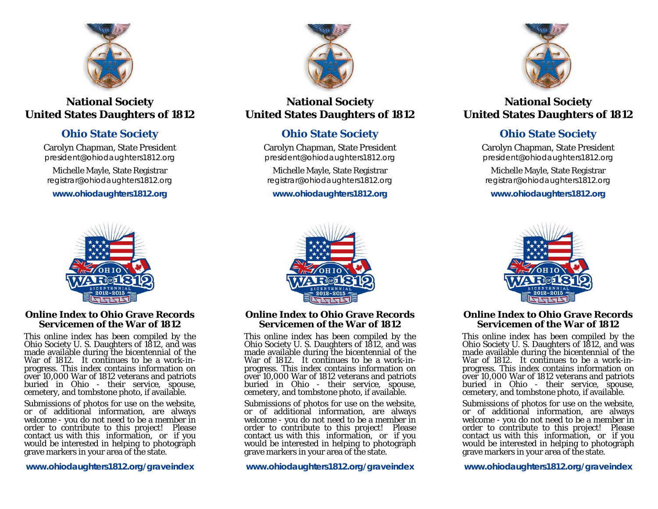

# **National Society United States Daughters of 1812**

# **Ohio State Society**

Carolyn Chapman, State President *president@ohiodaughters1812.org* 

Michelle Mayle, State Registrar *registrar@ohiodaughters1812.org* 

**www.ohiodaughters1812.org** 



# **Online Index to Ohio Grave Records Servicemen of the War of 1812**

This online index has been compiled by the Ohio Society U. S. Daughters of 1812, and was made available during the bicentennial of the War of 1812. It continues to be a work-inprogress. This index contains information on over 10,000 War of 1812 veterans and patriots buried in Ohio - their service, spouse, cemetery, and tombstone photo, if available.

Submissions of photos for use on the website,<br>or of additional information, are always<br>welcome - you do not need to be a member in<br>order to contribute to this project! Please<br>contact us with this information, or if you<br>wou

**www.ohiodaughters1812.org/graveindex** 



# **National Society United States Daughters of 1812**

# **Ohio State Society**

Carolyn Chapman, State President *president@ohiodaughters1812.org* 

Michelle Mayle, State Registrar *registrar@ohiodaughters1812.org* 

**www.ohiodaughters1812.org** 



# **National Society United States Daughters of 1812**

# **Ohio State Society**

Carolyn Chapman, State President *president@ohiodaughters1812.org* 

Michelle Mayle, State Registrar *registrar@ohiodaughters1812.org* 

**www.ohiodaughters1812.org** 



**Online Index to Ohio Grave Records Servicemen of the War of 1812** 

This online index has been compiled by the Ohio Society U. S. Daughters of 1812, and was made available during the bicentennial of the War of 1812. It continues to be a work-inprogress. This index contains information on over 10,000 War of 1812 veterans and patriots buried in Ohio - their service, spouse, cemetery, and tombstone photo, if available.

Submissions of photos for use on the website,<br>or of additional information, are always<br>welcome - you do not need to be a member in<br>order to contribute to this project! Please<br>contact us with this information, or if you<br>wou

**www.ohiodaughters1812.org/graveindex** 



## **Online Index to Ohio Grave Records Servicemen of the War of 1812**

This online index has been compiled by the Ohio Society U. S. Daughters of 1812, and was made available during the bicentennial of the War of 1812. It continues to be a work-inprogress. This index contains information on over 10,000 War of 1812 veterans and patriots buried in Ohio - their service, spouse, cemetery, and tombstone photo, if available.

Submissions of photos for use on the website,<br>or of additional information, are always<br>welcome - you do not need to be a member in<br>order to contribute to this project! Please<br>contact us with this information, or if you<br>wou

**www.ohiodaughters1812.org/graveindex**